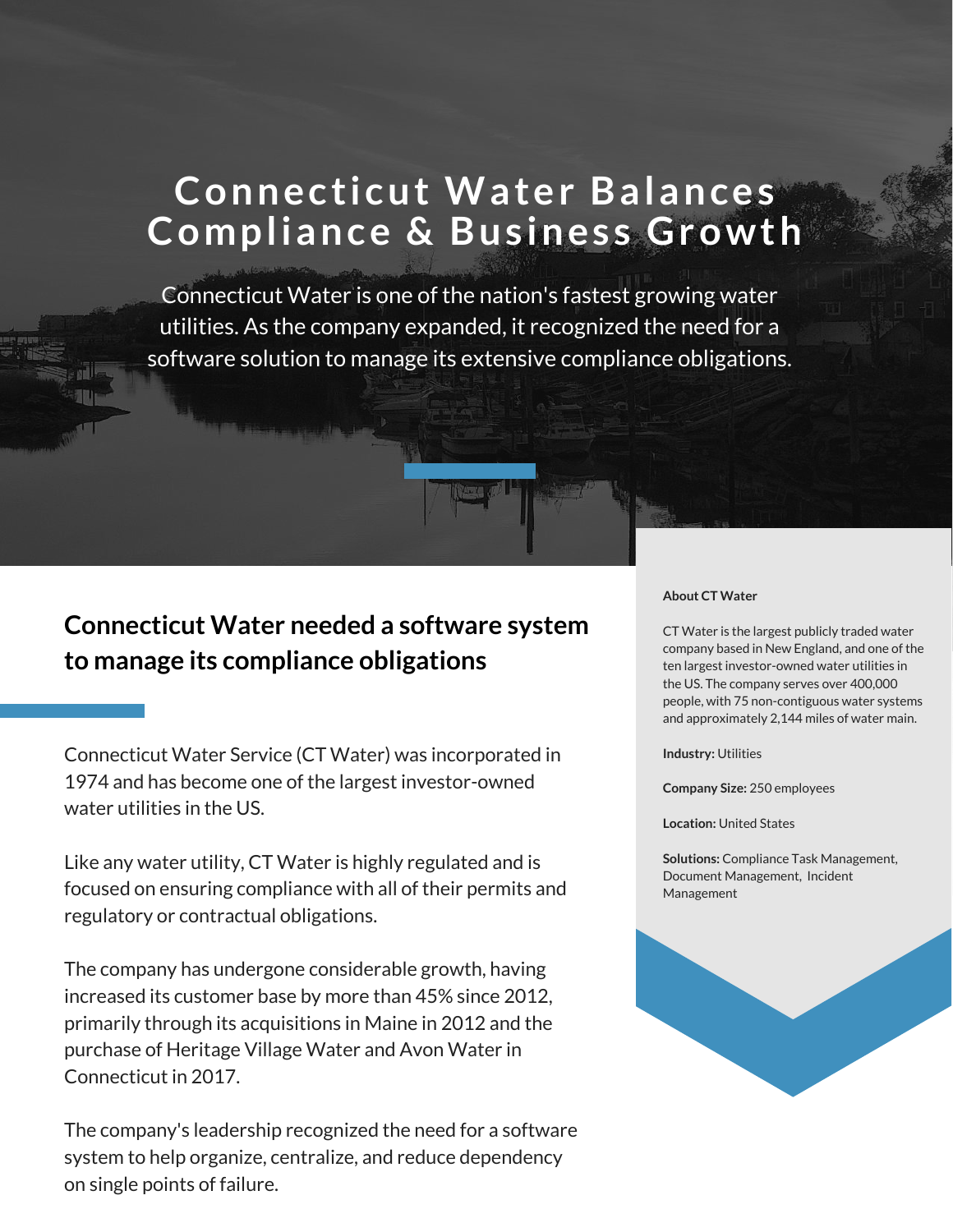# **Connecticut Water Balances Compliance & Bus ines s Growth**

Connecticut Water is one of the nation's fastest growing water utilities. As the company expanded, it recognized the need for a software solution to manage its extensive compliance obligations.

### **Connecticut Water needed a software system to manage its compliance obligations**

Connecticut Water Service (CT Water) was incorporated in 1974 and has become one of the largest investor-owned water utilities in the US.

Like any water utility, CT Water is highly regulated and is focused on ensuring compliance with all of their permits and regulatory or contractual obligations.

The company has undergone considerable growth, having increased its customer base by more than 45% since 2012, primarily through its acquisitions in Maine in 2012 and the purchase of Heritage Village Water and Avon Water in Connecticut in 2017.

The company's leadership recognized the need for a software system to help organize, centralize, and reduce dependency on single points of failure.

#### **About CT Water**

CT Water is the largest publicly traded water company based in New England, and one of the ten largest investor-owned water utilities in the US. The company serves over 400,000 people, with 75 non-contiguous water systems and approximately 2,144 miles of water main.

**Industry:** Utilities

**Company Size:** 250 employees

**Location:** United States

**Solutions:** Compliance Task Management, Document Management, Incident Management

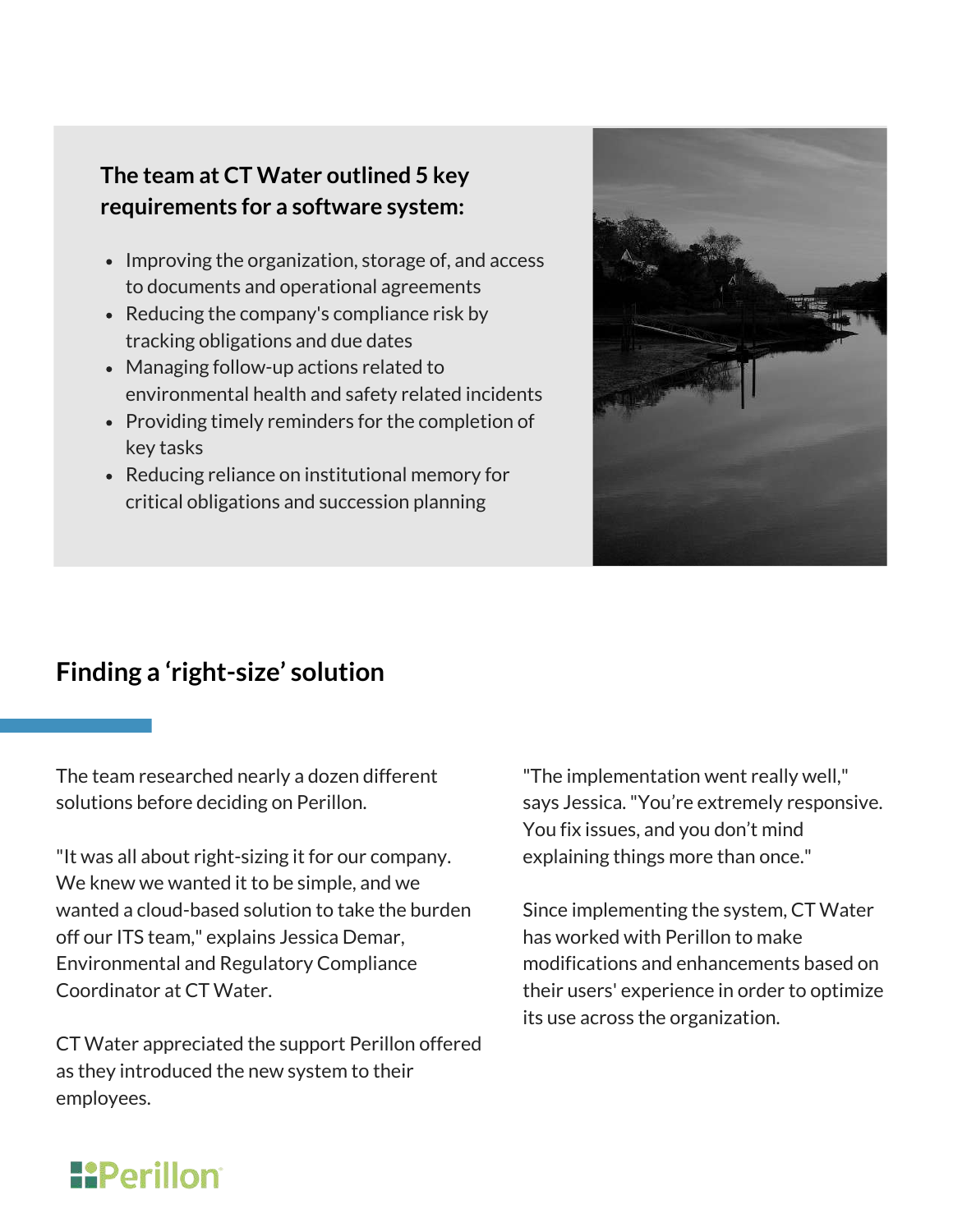#### **The team at CT Water outlined 5 key requirements for a software system:**

- Improving the organization, storage of, and access to documents and operational agreements
- Reducing the company's compliance risk by tracking obligations and due dates
- Managing follow-up actions related to environmental health and safety related incidents
- Providing timely reminders for the completion of key tasks
- Reducing reliance on institutional memory for critical obligations and succession planning



### **Finding a 'right-size' solution**

The team researched nearly a dozen different solutions before deciding on Perillon.

"It was all about right-sizing it for our company. We knew we wanted it to be simple, and we wanted a cloud-based solution to take the burden off our ITS team," explains Jessica Demar, Environmental and Regulatory Compliance Coordinator at CT Water.

CT Water appreciated the support Perillon offered as they introduced the new system to their employees.

"The implementation went really well," says Jessica."You're extremely responsive. You fix issues, and you don't mind explaining things more than once."

Since implementing the system, CT Water has worked with Perillon to make modifications and enhancements based on their users' experience in order to optimize its use across the organization.

# **H**Perillon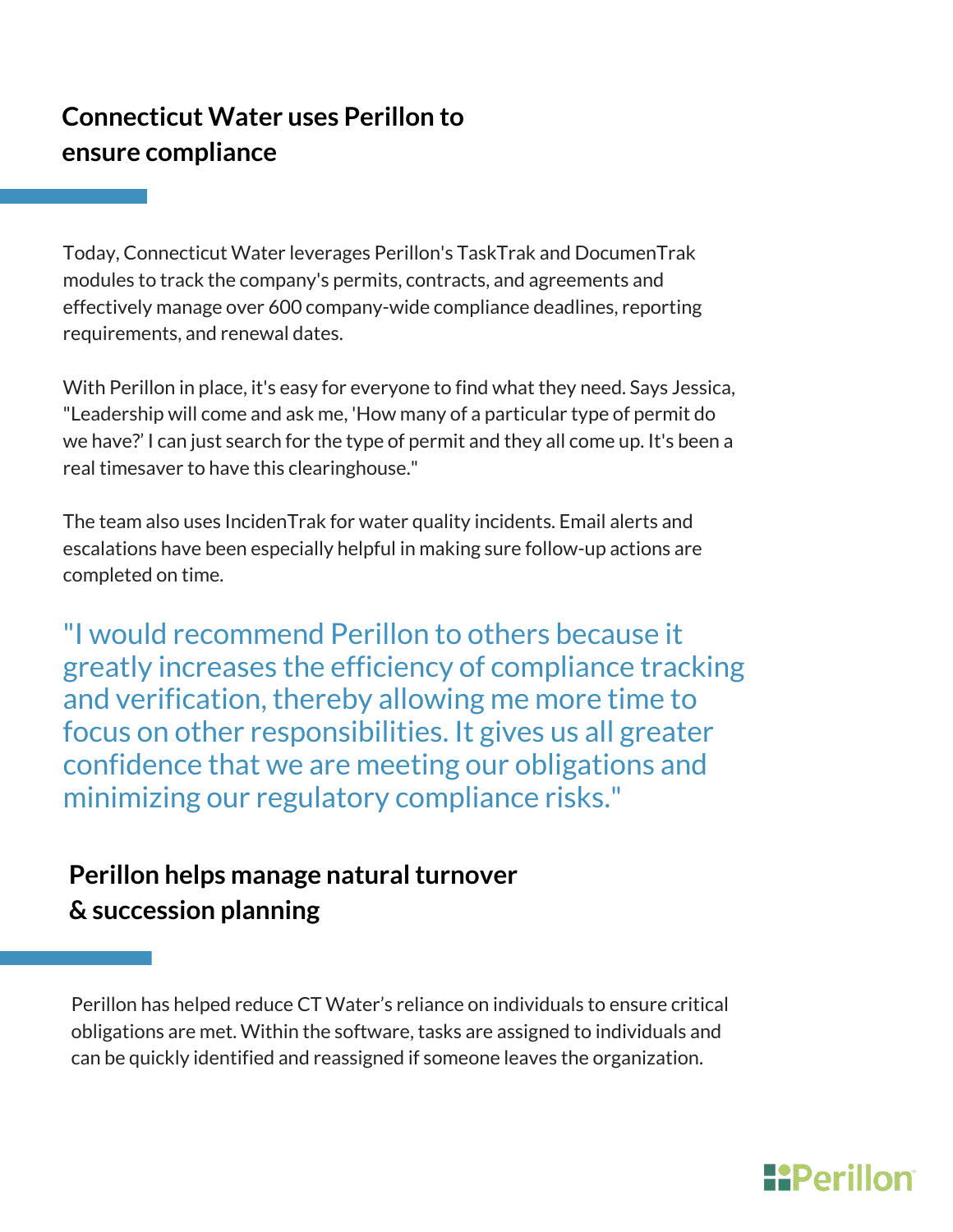### **Connecticut Water uses Perillon to ensure compliance**

Today, Connecticut Water leverages Perillon's TaskTrak and DocumenTrak modules to track the company's permits, contracts, and agreements and effectively manage over 600 company-wide compliance deadlines, reporting requirements, and renewal dates.

With Perillon in place, it's easy for everyone to find what they need. Says Jessica, "Leadership will come and ask me, 'How many of a particular type of permit do we have?' I can just search for the type of permit and they all come up. It's been a real timesaver to have this clearinghouse."

The team also uses IncidenTrak for water quality incidents. Email alerts and escalations have been especially helpful in making sure follow-up actions are completed on time.

"I would recommend Perillon to others because it greatly increases the efficiency of compliance tracking and verification, thereby allowing me more time to focus on other responsibilities. It gives us all greater confidence that we are meeting our obligations and minimizing our regulatory compliance risks."

### **Perillon helps manage natural turnover & succession planning**

Perillon has helped reduce CT Water's reliance on individuals to ensure critical obligations are met. Within the software, tasks are assigned to individuals and can be quickly identified and reassigned if someone leaves the organization.